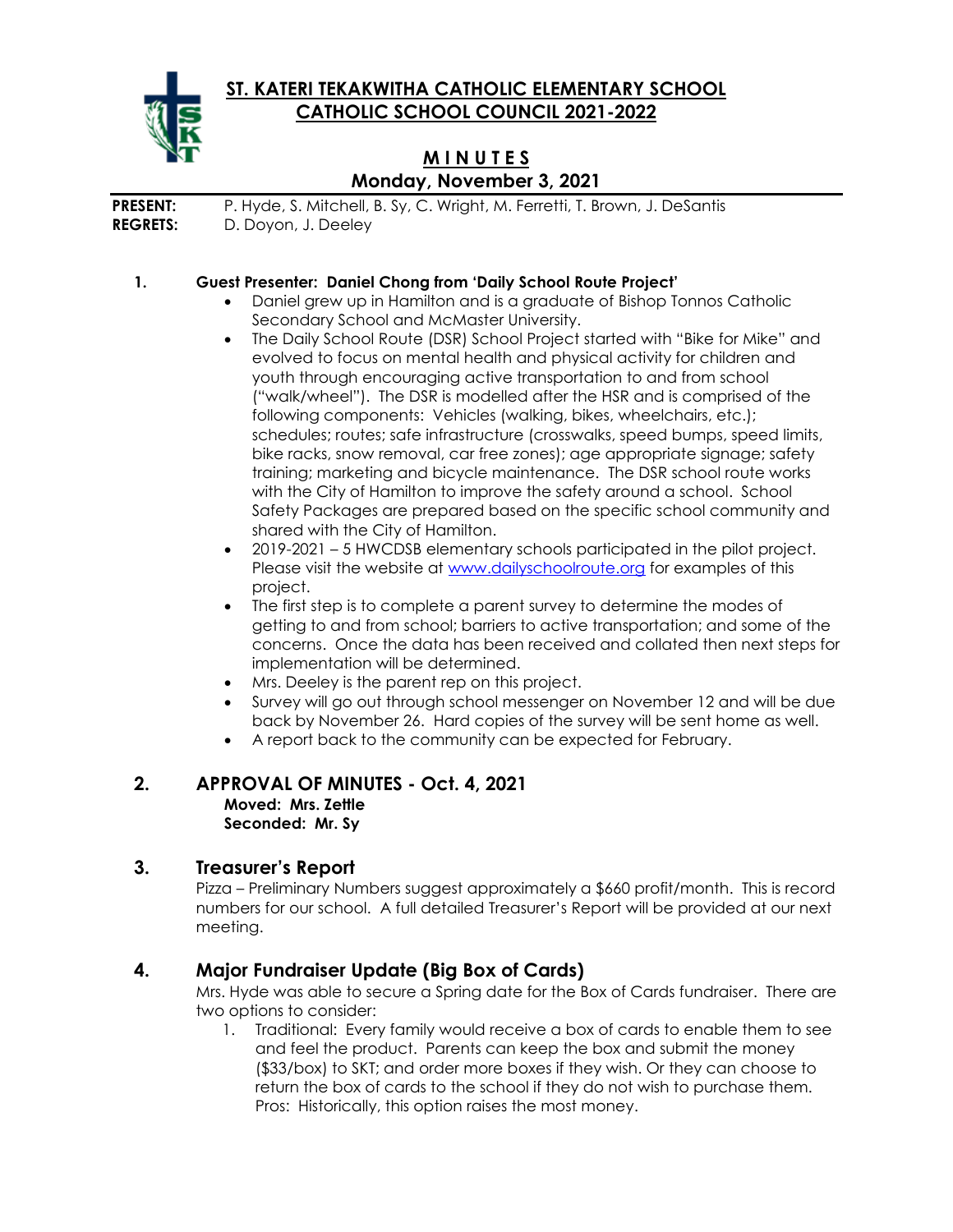**ST. KATERI TEKAKWITHA CATHOLIC ELEMENTARY SCHOOL CATHOLIC SCHOOL COUNCIL 2021-2022**



# **M I N U T E S Monday, November 3, 2021**

**PRESENT:** P. Hyde, S. Mitchell, B. Sy, C. Wright, M. Ferretti, T. Brown, J. DeSantis **REGRETS:** D. Doyon, J. Deeley

### **1. Guest Presenter: Daniel Chong from 'Daily School Route Project'**

- Daniel grew up in Hamilton and is a graduate of Bishop Tonnos Catholic Secondary School and McMaster University.
- The Daily School Route (DSR) School Project started with "Bike for Mike" and evolved to focus on mental health and physical activity for children and youth through encouraging active transportation to and from school ("walk/wheel"). The DSR is modelled after the HSR and is comprised of the following components: Vehicles (walking, bikes, wheelchairs, etc.); schedules; routes; safe infrastructure (crosswalks, speed bumps, speed limits, bike racks, snow removal, car free zones); age appropriate signage; safety training; marketing and bicycle maintenance. The DSR school route works with the City of Hamilton to improve the safety around a school. School Safety Packages are prepared based on the specific school community and shared with the City of Hamilton.
- 2019-2021 5 HWCDSB elementary schools participated in the pilot project. Please visit the website at [www.dailyschoolroute.org](http://www.dailyschoolroute.org/) for examples of this project.
- The first step is to complete a parent survey to determine the modes of getting to and from school; barriers to active transportation; and some of the concerns. Once the data has been received and collated then next steps for implementation will be determined.
- Mrs. Deeley is the parent rep on this project.
- Survey will go out through school messenger on November 12 and will be due back by November 26. Hard copies of the survey will be sent home as well.
- A report back to the community can be expected for February.

#### **2. APPROVAL OF MINUTES - Oct. 4, 2021 Moved: Mrs. Zettle Seconded: Mr. Sy**

### **3. Treasurer's Report**

Pizza – Preliminary Numbers suggest approximately a \$660 profit/month. This is record numbers for our school. A full detailed Treasurer's Report will be provided at our next meeting.

### **4. Major Fundraiser Update (Big Box of Cards)**

Mrs. Hyde was able to secure a Spring date for the Box of Cards fundraiser. There are two options to consider:

1. Traditional: Every family would receive a box of cards to enable them to see and feel the product. Parents can keep the box and submit the money (\$33/box) to SKT; and order more boxes if they wish. Or they can choose to return the box of cards to the school if they do not wish to purchase them. Pros: Historically, this option raises the most money.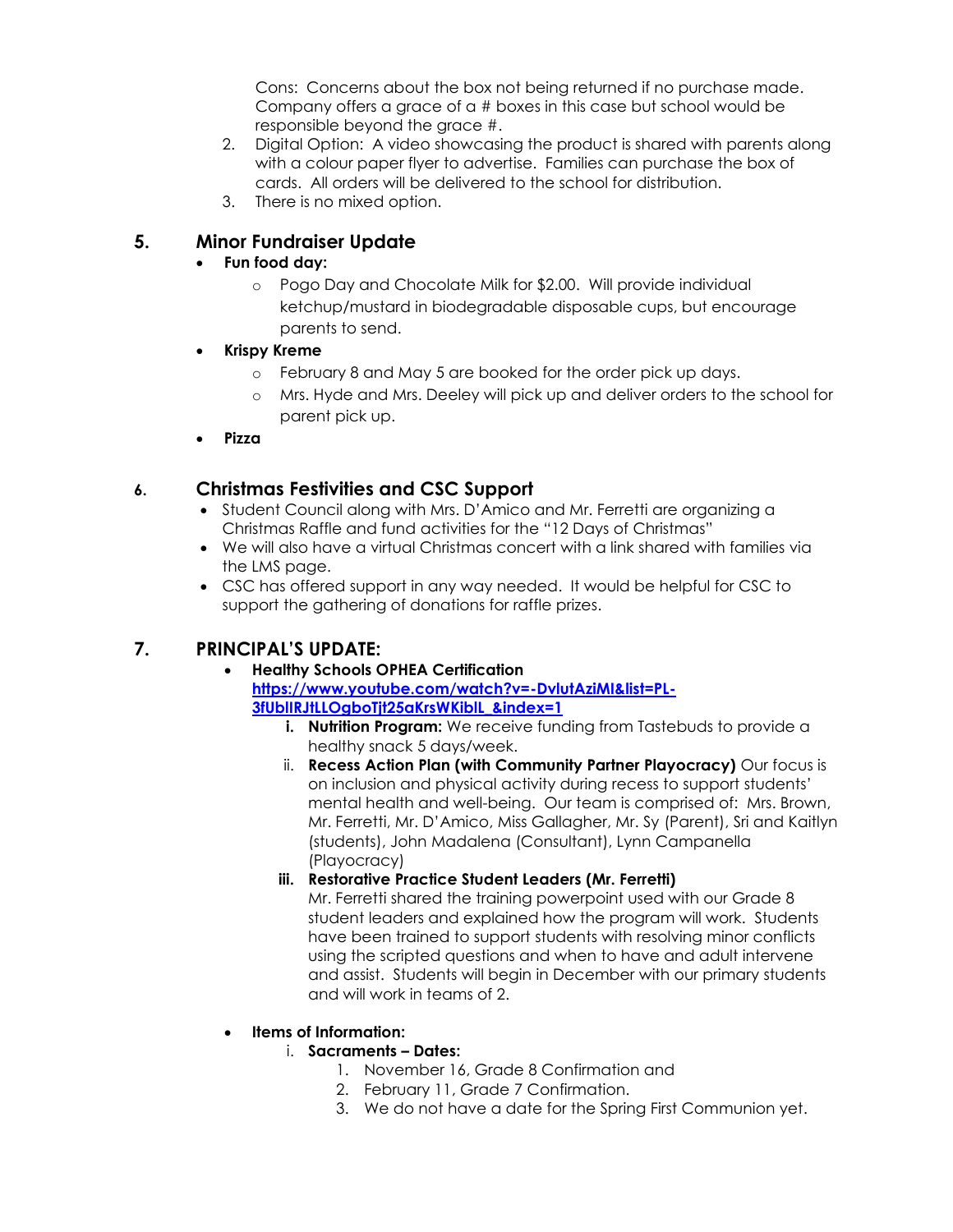Cons: Concerns about the box not being returned if no purchase made. Company offers a grace of a # boxes in this case but school would be responsible beyond the grace #.

- 2. Digital Option: A video showcasing the product is shared with parents along with a colour paper flyer to advertise. Families can purchase the box of cards. All orders will be delivered to the school for distribution.
- 3. There is no mixed option.

# **5. Minor Fundraiser Update**

### • **Fun food day:**

- o Pogo Day and Chocolate Milk for \$2.00. Will provide individual ketchup/mustard in biodegradable disposable cups, but encourage parents to send.
- **Krispy Kreme**
	- o February 8 and May 5 are booked for the order pick up days.
	- o Mrs. Hyde and Mrs. Deeley will pick up and deliver orders to the school for parent pick up.
- **Pizza**

## **6. Christmas Festivities and CSC Support**

- Student Council along with Mrs. D'Amico and Mr. Ferretti are organizing a Christmas Raffle and fund activities for the "12 Days of Christmas"
- We will also have a virtual Christmas concert with a link shared with families via the LMS page.
- CSC has offered support in any way needed. It would be helpful for CSC to support the gathering of donations for raffle prizes.

# **7. PRINCIPAL'S UPDATE:**

- **Healthy Schools OPHEA Certification [https://www.youtube.com/watch?v=-DvlutAziMI&list=PL-](https://www.youtube.com/watch?v=-DvlutAziMI&list=PL-3fUblIRJtLLOgboTjt25aKrsWKiblL_&index=1)[3fUblIRJtLLOgboTjt25aKrsWKiblL\\_&index=1](https://www.youtube.com/watch?v=-DvlutAziMI&list=PL-3fUblIRJtLLOgboTjt25aKrsWKiblL_&index=1)**
	- **i. Nutrition Program:** We receive funding from Tastebuds to provide a healthy snack 5 days/week.
	- ii. **Recess Action Plan (with Community Partner Playocracy)** Our focus is on inclusion and physical activity during recess to support students' mental health and well-being. Our team is comprised of: Mrs. Brown, Mr. Ferretti, Mr. D'Amico, Miss Gallagher, Mr. Sy (Parent), Sri and Kaitlyn (students), John Madalena (Consultant), Lynn Campanella (Playocracy)
	- **iii. Restorative Practice Student Leaders (Mr. Ferretti)**

Mr. Ferretti shared the training powerpoint used with our Grade 8 student leaders and explained how the program will work. Students have been trained to support students with resolving minor conflicts using the scripted questions and when to have and adult intervene and assist. Students will begin in December with our primary students and will work in teams of 2.

### • **Items of Information:**

### i. **Sacraments – Dates:**

- 1. November 16, Grade 8 Confirmation and
- 2. February 11, Grade 7 Confirmation.
- 3. We do not have a date for the Spring First Communion yet.